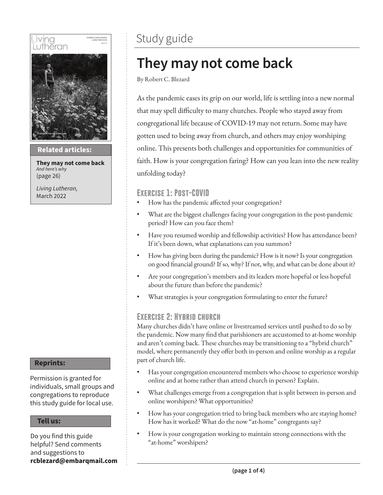

### **Then sings my soul Related articles:**

**They may not come back** *And here's why* (page 26)

*Living Lutheran,* March 2022

#### **Reprints:**

Permission is granted for individuals, small groups and congregations to reproduce this study guide for local use.

#### **Tell us:**

Do you find this guide helpful? Send comments and suggestions to **rcblezard@embarqmail.com**

### Study guide

### **They may not come back**

By Robert C. Blezard

As the pandemic eases its grip on our world, life is settling into a new normal that may spell difficulty to many churches. People who stayed away from congregational life because of COVID-19 may not return. Some may have gotten used to being away from church, and others may enjoy worshiping online. This presents both challenges and opportunities for communities of faith. How is your congregation faring? How can you lean into the new reality unfolding today?

### **Exercise 1: Post-COVID**

- How has the pandemic affected your congregation?
- What are the biggest challenges facing your congregation in the post-pandemic period? How can you face them?
- Have you resumed worship and fellowship activities? How has attendance been? If it's been down, what explanations can you summon?
- How has giving been during the pandemic? How is it now? Is your congregation on good financial ground? If so, why? If not, why, and what can be done about it?
- Are your congregation's members and its leaders more hopeful or less hopeful about the future than before the pandemic?
- What strategies is your congregation formulating to enter the future?

### **Exercise 2: Hybrid church**

Many churches didn't have online or livestreamed services until pushed to do so by the pandemic. Now many find that parishioners are accustomed to at-home worship and aren't coming back. These churches may be transitioning to a "hybrid church" model, where permanently they offer both in-person and online worship as a regular part of church life.

- Has your congregation encountered members who choose to experience worship online and at home rather than attend church in person? Explain.
- What challenges emerge from a congregation that is split between in-person and online worshipers? What opportunities?
- How has your congregation tried to bring back members who are staying home? How has it worked? What do the now "at-home" congregants say?
- How is your congregation working to maintain strong connections with the "at-home" worshipers?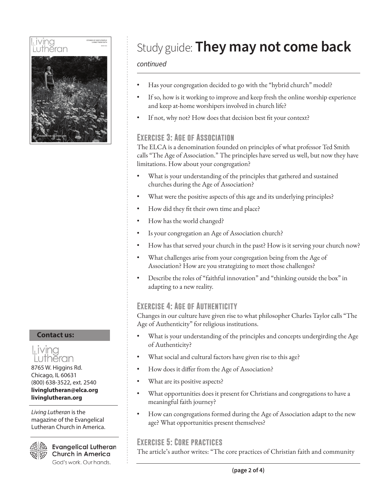

**Contact us:**



8765 W. Higgins Rd. Chicago, IL 60631 (800) 638-3522, ext. 2540 **livinglutheran@elca.org livinglutheran.org**

*Living Lutheran* is the magazine of the Evangelical Lutheran Church in America.



**Evangelical Lutheran Church in America** God's work. Our hands.

## Study guide: **They may not come back**

### *continued*

- Has your congregation decided to go with the "hybrid church" model?
- If so, how is it working to improve and keep fresh the online worship experience and keep at-home worshipers involved in church life?
- If not, why not? How does that decision best fit your context?

### **Exercise 3: Age of Association**

The ELCA is a denomination founded on principles of what professor Ted Smith calls "The Age of Association." The principles have served us well, but now they have limitations. How about your congregation?

- What is your understanding of the principles that gathered and sustained churches during the Age of Association?
- What were the positive aspects of this age and its underlying principles?
- How did they fit their own time and place?
- How has the world changed?
- Is your congregation an Age of Association church?
- How has that served your church in the past? How is it serving your church now?
- What challenges arise from your congregation being from the Age of Association? How are you strategizing to meet those challenges?
- Describe the roles of "faithful innovation" and "thinking outside the box" in adapting to a new reality.

### **Exercise 4: Age of Authenticity**

Changes in our culture have given rise to what philosopher Charles Taylor calls "The Age of Authenticity" for religious institutions.

- What is your understanding of the principles and concepts undergirding the Age of Authenticity?
- What social and cultural factors have given rise to this age?
- How does it differ from the Age of Association?
- What are its positive aspects?
- What opportunities does it present for Christians and congregations to have a meaningful faith journey?
- How can congregations formed during the Age of Association adapt to the new age? What opportunities present themselves?

### **Exercise 5: Core practices**

The article's author writes: "The core practices of Christian faith and community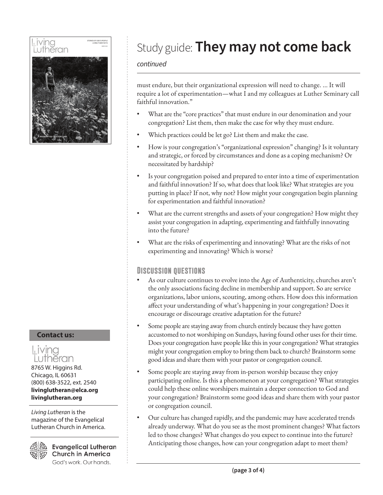

**Contact us:**



8765 W. Higgins Rd. Chicago, IL 60631 (800) 638-3522, ext. 2540 **livinglutheran@elca.org livinglutheran.org**

*Living Lutheran* is the magazine of the Evangelical Lutheran Church in America.



**Evangelical Lutheran Church in America** God's work. Our hands.

# Study guide: **They may not come back**

### *continued*

must endure, but their organizational expression will need to change. ... It will require a lot of experimentation—what I and my colleagues at Luther Seminary call faithful innovation."

- What are the "core practices" that must endure in our denomination and your congregation? List them, then make the case for why they must endure.
- Which practices could be let go? List them and make the case.
- How is your congregation's "organizational expression" changing? Is it voluntary and strategic, or forced by circumstances and done as a coping mechanism? Or necessitated by hardship?
- Is your congregation poised and prepared to enter into a time of experimentation and faithful innovation? If so, what does that look like? What strategies are you putting in place? If not, why not? How might your congregation begin planning for experimentation and faithful innovation?
- What are the current strengths and assets of your congregation? How might they assist your congregation in adapting, experimenting and faithfully innovating into the future?
- What are the risks of experimenting and innovating? What are the risks of not experimenting and innovating? Which is worse?

### **Discussion questions**

- As our culture continues to evolve into the Age of Authenticity, churches aren't the only associations facing decline in membership and support. So are service organizations, labor unions, scouting, among others. How does this information affect your understanding of what's happening in your congregation? Does it encourage or discourage creative adaptation for the future?
- Some people are staying away from church entirely because they have gotten accustomed to not worshiping on Sundays, having found other uses for their time. Does your congregation have people like this in your congregation? What strategies might your congregation employ to bring them back to church? Brainstorm some good ideas and share them with your pastor or congregation council.
- Some people are staying away from in-person worship because they enjoy participating online. Is this a phenomenon at your congregation? What strategies could help these online worshipers maintain a deeper connection to God and your congregation? Brainstorm some good ideas and share them with your pastor or congregation council.
- Our culture has changed rapidly, and the pandemic may have accelerated trends already underway. What do you see as the most prominent changes? What factors led to those changes? What changes do you expect to continue into the future? Anticipating those changes, how can your congregation adapt to meet them?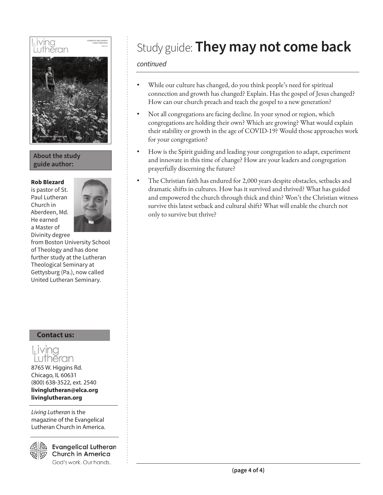

### **About the study guide author:**

#### **Rob Blezard**

is pastor of St. Paul Lutheran Church in Aberdeen, Md. He earned a Master of Divinity degree



from Boston University School of Theology and has done further study at the Lutheran Theological Seminary at Gettysburg (Pa.), now called United Lutheran Seminary.

### **Contact us:**

### Living Lutheran

8765 W. Higgins Rd. Chicago, IL 60631 (800) 638-3522, ext. 2540 **livinglutheran@elca.org livinglutheran.org**

*Living Lutheran* is the magazine of the Evangelical Lutheran Church in America.



**Evangelical Lutheran Church in America** God's work. Our hands.

# Study guide: **They may not come back**

### *continued*

- While our culture has changed, do you think people's need for spiritual connection and growth has changed? Explain. Has the gospel of Jesus changed? How can our church preach and teach the gospel to a new generation?
- Not all congregations are facing decline. In your synod or region, which congregations are holding their own? Which are growing? What would explain their stability or growth in the age of COVID-19? Would those approaches work for your congregation?
- How is the Spirit guiding and leading your congregation to adapt, experiment and innovate in this time of change? How are your leaders and congregation prayerfully discerning the future?
- The Christian faith has endured for 2,000 years despite obstacles, setbacks and dramatic shifts in cultures. How has it survived and thrived? What has guided and empowered the church through thick and thin? Won't the Christian witness survive this latest setback and cultural shift? What will enable the church not only to survive but thrive?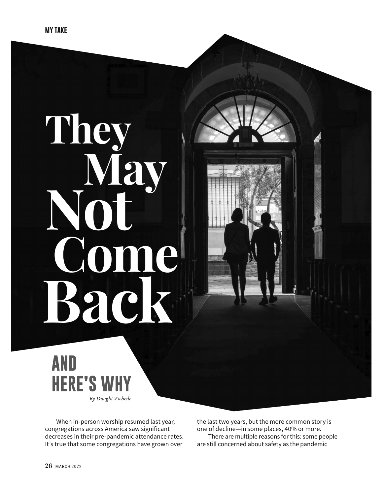# **They May Not Come Back**



When in-person worship resumed last year, congregations across America saw significant decreases in their pre-pandemic attendance rates. It's true that some congregations have grown over

the last two years, but the more common story is one of decline—in some places, 40% or more.

There are multiple reasons for this: some people are still concerned about safety as the pandemic